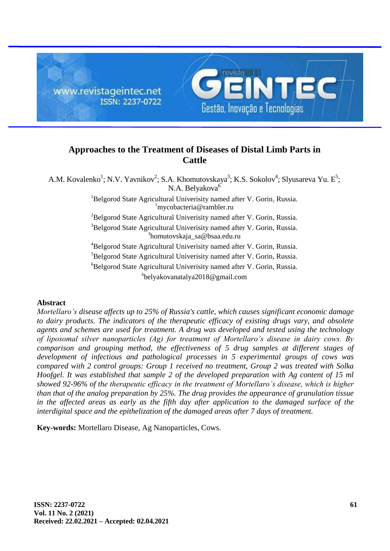

# **Approaches to the Treatment of Diseases of Distal Limb Parts in Cattle**

A.M. Kovalenko<sup>1</sup>; N.V. Yavnikov<sup>2</sup>; S.A. Khomutovskaya<sup>3</sup>; K.S. Sokolov<sup>4</sup>; Slyusareva Yu. E<sup>5</sup>; N.A. Belyakova<sup>6</sup> <sup>1</sup>Belgorod State Agricultural Univerisity named after V. Gorin, Russia. <sup>1</sup>[mycobacteria@rambler.ru](mailto:mycobacteria@rambler.ru)  ${}^{2}$ Belgorod State Agricultural Univerisity named after V. Gorin, Russia. <sup>3</sup>Belgorod State Agricultural Univerisity named after V. Gorin, Russia. 3 [homutovskaja\\_sa@bsaa.edu.ru](mailto:homutovskaja_sa@bsaa.edu.ru) <sup>4</sup>Belgorod State Agricultural Univerisity named after V. Gorin, Russia. <sup>5</sup>Belgorod State Agricultural Univerisity named after V. Gorin, Russia. <sup>6</sup>Belgorod State Agricultural Univerisity named after V. Gorin, Russia. 6 [belyakovanatalya2018@gmail.com](mailto:belyakovanatalya2018@gmail.com)

## **Abstract**

*Mortellaro's disease affects up to 25% of Russia's cattle, which causes significant economic damage to dairy products. The indicators of the therapeutic efficacy of existing drugs vary, and obsolete agents and schemes are used for treatment. A drug was developed and tested using the technology of liposomal silver nanoparticles (Ag) for treatment of Mortellaro's disease in dairy cows. By comparison and grouping method, the effectiveness of 5 drug samples at different stages of development of infectious and pathological processes in 5 experimental groups of cows was compared with 2 control groups: Group 1 received no treatment, Group 2 was treated with Solka Hoofgel. It was established that sample 2 of the developed preparation with Ag content of 15 ml showed 92-96% of the therapeutic efficacy in the treatment of Mortellaro's disease, which is higher than that of the analog preparation by 25%. The drug provides the appearance of granulation tissue*  in the affected areas as early as the fifth day after application to the damaged surface of the *interdigital space and the epithelization of the damaged areas after 7 days of treatment.*

**Key-words:** Mortellaro Disease, Ag Nanoparticles, Cows.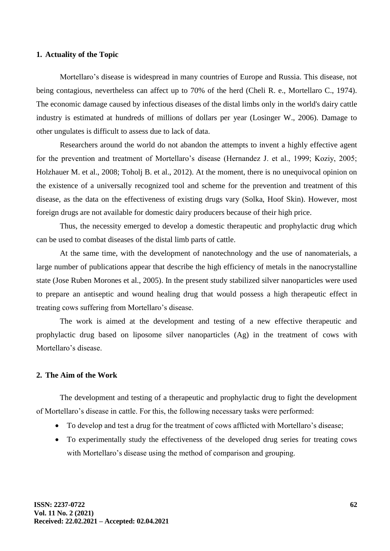#### **1. Actuality of the Topic**

Mortellaro's disease is widespread in many countries of Europe and Russia. This disease, not being contagious, nevertheless can affect up to 70% of the herd (Cheli R. e., Mortellaro C., 1974). The economic damage caused by infectious diseases of the distal limbs only in the world's dairy cattle industry is estimated at hundreds of millions of dollars per year (Losinger W., 2006). Damage to other ungulates is difficult to assess due to lack of data.

Researchers around the world do not abandon the attempts to invent a highly effective agent for the prevention and treatment of Mortellaro's disease (Hernandez J. et al., 1999; Koziy, 2005; Holzhauer M. et al., 2008; Toholj B. et al., 2012). At the moment, there is no unequivocal opinion on the existence of a universally recognized tool and scheme for the prevention and treatment of this disease, as the data on the effectiveness of existing drugs vary (Solka, Hoof Skin). However, most foreign drugs are not available for domestic dairy producers because of their high price.

Thus, the necessity emerged to develop a domestic therapeutic and prophylactic drug which can be used to combat diseases of the distal limb parts of cattle.

At the same time, with the development of nanotechnology and the use of nanomaterials, a large number of publications appear that describe the high efficiency of metals in the nanocrystalline state (Jose Ruben Morones et al., 2005). In the present study stabilized silver nanoparticles were used to prepare an antiseptic and wound healing drug that would possess a high therapeutic effect in treating cows suffering from Mortellaro's disease.

The work is aimed at the development and testing of a new effective therapeutic and prophylactic drug based on liposome silver nanoparticles (Ag) in the treatment of cows with Mortellaro's disease.

#### **2. The Aim of the Work**

The development and testing of a therapeutic and prophylactic drug to fight the development of Mortellaro's disease in cattle. For this, the following necessary tasks were performed:

- To develop and test a drug for the treatment of cows afflicted with Mortellaro's disease;
- To experimentally study the effectiveness of the developed drug series for treating cows with Mortellaro's disease using the method of comparison and grouping.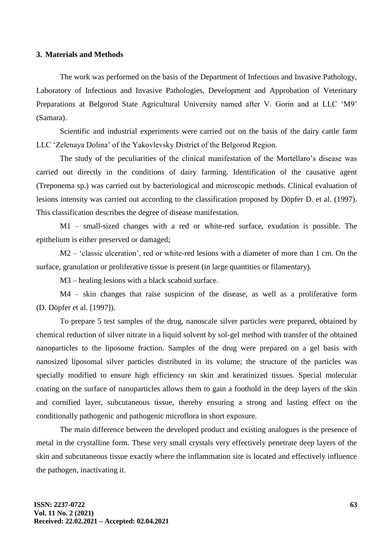#### **3. Materials and Methods**

The work was performed on the basis of the Department of Infectious and Invasive Pathology, Laboratory of Infectious and Invasive Pathologies, Development and Approbation of Veterinary Preparations at Belgorod State Agricultural University named after V. Gorin and at LLC 'M9' (Samara).

Scientific and industrial experiments were carried out on the basis of the dairy cattle farm LLC 'Zelenaya Dolina' of the Yakovlevsky District of the Belgorod Region.

The study of the peculiarities of the clinical manifestation of the Mortellaro's disease was carried out directly in the conditions of dairy farming. Identification of the causative agent (Treponema sp.) was carried out by bacteriological and microscopic methods. Clinical evaluation of lesions intensity was carried out according to the classification proposed by Döpfer D. et al. (1997). This classification describes the degree of disease manifestation.

M1 – small-sized changes with a red or white-red surface, exudation is possible. The epithelium is either preserved or damaged;

M2 – 'classic ulceration', red or white-red lesions with a diameter of more than 1 cm. On the surface, granulation or proliferative tissue is present (in large quantities or filamentary).

M3 – healing lesions with a black scaboid surface.

M4 – skin changes that raise suspicion of the disease, as well as a proliferative form (D. Döpfer et al. [1997]).

To prepare 5 test samples of the drug, nanoscale silver particles were prepared, obtained by chemical reduction of silver nitrate in a liquid solvent by sol-gel method with transfer of the obtained nanoparticles to the liposome fraction. Samples of the drug were prepared on a gel basis with nanosized liposomal silver particles distributed in its volume; the structure of the particles was specially modified to ensure high efficiency on skin and keratinized tissues. Special molecular coating on the surface of nanoparticles allows them to gain a foothold in the deep layers of the skin and cornified layer, subcutaneous tissue, thereby ensuring a strong and lasting effect on the conditionally pathogenic and pathogenic microflora in short exposure.

The main difference between the developed product and existing analogues is the presence of metal in the crystalline form. These very small crystals very effectively penetrate deep layers of the skin and subcutaneous tissue exactly where the inflammation site is located and effectively influence the pathogen, inactivating it.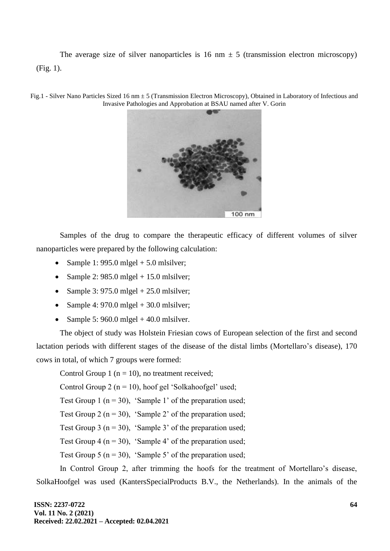The average size of silver nanoparticles is 16 nm  $\pm$  5 (transmission electron microscopy) (Fig. 1).



Fig.1 - Silver Nano Particles Sized 16 nm ± 5 (Transmission Electron Microscopy), Obtained in Laboratory of Infectious and Invasive Pathologies and Approbation at BSAU named after V. Gorin

Samples of the drug to compare the therapeutic efficacy of different volumes of silver nanoparticles were prepared by the following calculation:

- Sample 1: 995.0 mlgel  $+$  5.0 mlsilver;
- Sample 2: 985.0 mlgel  $+ 15.0$  mlsilver;
- Sample 3: 975.0 mlgel  $+ 25.0$  mlsilver;
- Sample 4: 970.0 mlgel  $+$  30.0 mlsilver;
- Sample 5: 960.0 mlgel + 40.0 mlsilver.

The object of study was Holstein Friesian cows of European selection of the first and second lactation periods with different stages of the disease of the distal limbs (Mortellaro's disease), 170 cows in total, of which 7 groups were formed:

Control Group 1 ( $n = 10$ ), no treatment received;

Control Group 2 ( $n = 10$ ), hoof gel 'Solkahoofgel' used;

Test Group 1 ( $n = 30$ ), 'Sample 1' of the preparation used;

Test Group 2 ( $n = 30$ ), 'Sample 2' of the preparation used;

Test Group 3 ( $n = 30$ ), 'Sample 3' of the preparation used;

Test Group 4 ( $n = 30$ ), 'Sample 4' of the preparation used;

Test Group 5 ( $n = 30$ ), 'Sample 5' of the preparation used;

In Control Group 2, after trimming the hoofs for the treatment of Mortellaro's disease, SolkaHoofgel was used (KantersSpecialProducts B.V., the Netherlands). In the animals of the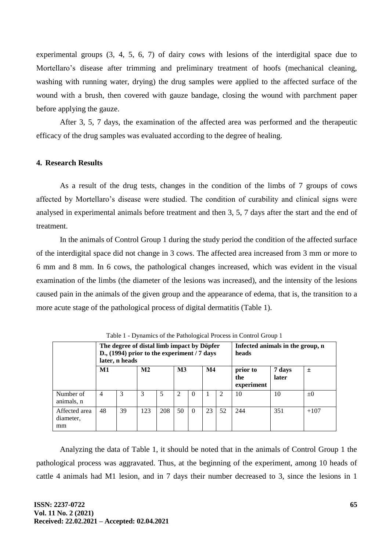experimental groups (3, 4, 5, 6, 7) of dairy cows with lesions of the interdigital space due to Mortellaro's disease after trimming and preliminary treatment of hoofs (mechanical cleaning, washing with running water, drying) the drug samples were applied to the affected surface of the wound with a brush, then covered with gauze bandage, closing the wound with parchment paper before applying the gauze.

After 3, 5, 7 days, the examination of the affected area was performed and the therapeutic efficacy of the drug samples was evaluated according to the degree of healing.

## **4. Research Results**

As a result of the drug tests, changes in the condition of the limbs of 7 groups of cows affected by Mortellaro's disease were studied. The condition of curability and clinical signs were analysed in experimental animals before treatment and then 3, 5, 7 days after the start and the end of treatment.

In the animals of Control Group 1 during the study period the condition of the affected surface of the interdigital space did not change in 3 cows. The affected area increased from 3 mm or more to 6 mm and 8 mm. In 6 cows, the pathological changes increased, which was evident in the visual examination of the limbs (the diameter of the lesions was increased), and the intensity of the lesions caused pain in the animals of the given group and the appearance of edema, that is, the transition to a more acute stage of the pathological process of digital dermatitis (Table 1).

|                                  |                | Tuble 1 D jumines of the Futhologiear Flocess in Control Gloup 1<br>The degree of distal limb impact by Döpfer<br>D., $(1994)$ prior to the experiment / 7 days<br>later, n heads |                |     | Infected animals in the group, n<br>heads |          |               |    |                               |                 |         |
|----------------------------------|----------------|-----------------------------------------------------------------------------------------------------------------------------------------------------------------------------------|----------------|-----|-------------------------------------------|----------|---------------|----|-------------------------------|-----------------|---------|
|                                  | M1             |                                                                                                                                                                                   | M <sub>2</sub> |     | $\mathbf{M}3$                             |          | $\mathbf{M}4$ |    | prior to<br>the<br>experiment | 7 days<br>later | $\pm$   |
| Number of<br>animals, n          | $\overline{4}$ | 3                                                                                                                                                                                 | 3              | 5   | $\mathcal{D}_{\mathcal{L}}$               | $\Omega$ |               | 2  | 10                            | 10              | $\pm 0$ |
| Affected area<br>diameter,<br>mm | 48             | 39                                                                                                                                                                                | 123            | 208 | 50                                        | $\Omega$ | 23            | 52 | 244                           | 351             | $+107$  |

Table 1 - Dynamics of the Pathological Process in Control Group 1

Analyzing the data of Table 1, it should be noted that in the animals of Control Group 1 the pathological process was aggravated. Thus, at the beginning of the experiment, among 10 heads of cattle 4 animals had M1 lesion, and in 7 days their number decreased to 3, since the lesions in 1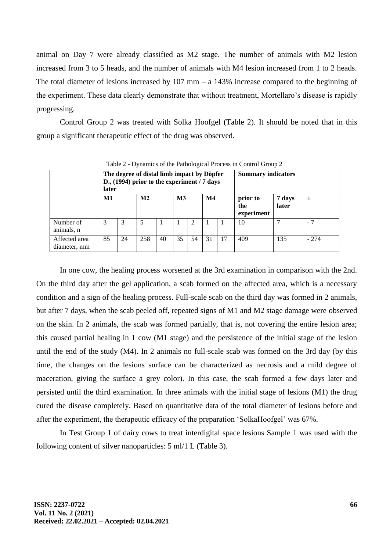animal on Day 7 were already classified as M2 stage. The number of animals with M2 lesion increased from 3 to 5 heads, and the number of animals with M4 lesion increased from 1 to 2 heads. The total diameter of lesions increased by 107 mm – a 143% increase compared to the beginning of the experiment. These data clearly demonstrate that without treatment, Mortellaro's disease is rapidly progressing.

Control Group 2 was treated with Solka Hoofgel (Table 2). It should be noted that in this group a significant therapeutic effect of the drug was observed.

|                               |          | I avic $\mathbb{Z}$ - Dynamics of the Fathological Flocess in Control Group $\mathbb{Z}$ |                                                                                             |    |    |                           |               |  |                               |                 |        |
|-------------------------------|----------|------------------------------------------------------------------------------------------|---------------------------------------------------------------------------------------------|----|----|---------------------------|---------------|--|-------------------------------|-----------------|--------|
|                               | later    |                                                                                          | The degree of distal limb impact by Döpfer<br>D., $(1994)$ prior to the experiment / 7 days |    |    | <b>Summary indicators</b> |               |  |                               |                 |        |
|                               | $\bf M1$ |                                                                                          | M <sub>2</sub>                                                                              |    | M3 |                           | $\mathbf{M}4$ |  | prior to<br>the<br>experiment | 7 days<br>later | 土      |
| Number of<br>animals, n       | 3        | 3                                                                                        | 5                                                                                           |    |    | 2                         |               |  | 10                            |                 | - 7    |
| Affected area<br>diameter, mm | 85       | 24                                                                                       | 258                                                                                         | 40 | 35 | 54                        | 31            |  | 409                           | 135             | $-274$ |

Table 2 - Dynamics of the Pathological Process in Control Group 2

In one cow, the healing process worsened at the 3rd examination in comparison with the 2nd. On the third day after the gel application, a scab formed on the affected area, which is a necessary condition and a sign of the healing process. Full-scale scab on the third day was formed in 2 animals, but after 7 days, when the scab peeled off, repeated signs of M1 and M2 stage damage were observed on the skin. In 2 animals, the scab was formed partially, that is, not covering the entire lesion area; this caused partial healing in 1 cow (M1 stage) and the persistence of the initial stage of the lesion until the end of the study (M4). In 2 animals no full-scale scab was formed on the 3rd day (by this time, the changes on the lesions surface can be characterized as necrosis and a mild degree of maceration, giving the surface a grey color). In this case, the scab formed a few days later and persisted until the third examination. In three animals with the initial stage of lesions (M1) the drug cured the disease completely. Based on quantitative data of the total diameter of lesions before and after the experiment, the therapeutic efficacy of the preparation 'SolkaHoofgel' was 67%.

In Test Group 1 of dairy cows to treat interdigital space lesions Sample 1 was used with the following content of silver nanoparticles: 5 ml/1 L (Table 3).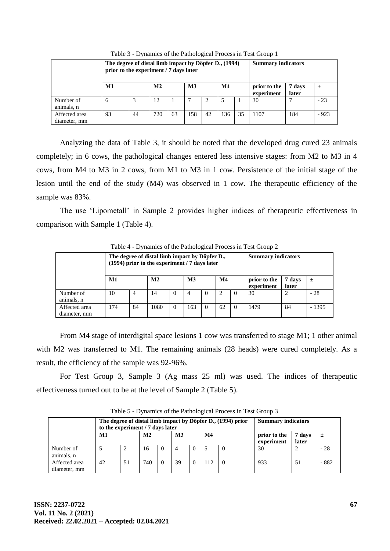|                               | The degree of distal limb impact by Döpfer D., (1994)<br>prior to the experiment / 7 days later |    |                | <b>Summary indicators</b> |                |    |               |    |                            |                 |        |
|-------------------------------|-------------------------------------------------------------------------------------------------|----|----------------|---------------------------|----------------|----|---------------|----|----------------------------|-----------------|--------|
|                               | M1                                                                                              |    | M <sub>2</sub> |                           | M <sub>3</sub> |    | $\mathbf{M}4$ |    | prior to the<br>experiment | 7 days<br>later | 土      |
| Number of<br>animals, n       | 6                                                                                               | 3  | 12             |                           |                | 2  |               |    | 30                         | −               | $-23$  |
| Affected area<br>diameter, mm | 93                                                                                              | 44 | 720            | 63                        | 158            | 42 | 136           | 35 | 1107                       | 184             | $-923$ |

Table 3 - Dynamics of the Pathological Process in Test Group 1

Analyzing the data of Table 3, it should be noted that the developed drug cured 23 animals completely; in 6 cows, the pathological changes entered less intensive stages: from M2 to M3 in 4 cows, from M4 to M3 in 2 cows, from M1 to M3 in 1 cow. Persistence of the initial stage of the lesion until the end of the study (M4) was observed in 1 cow. The therapeutic efficiency of the sample was 83%.

The use 'Lipometall' in Sample 2 provides higher indices of therapeutic effectiveness in comparison with Sample 1 (Table 4).

|                               | Table $4$ - Dynamics of the Pathological Process in Test Group $\angle$ |    |                                                                                                 |                           |     |                |    |          |                            |                 |         |  |  |  |
|-------------------------------|-------------------------------------------------------------------------|----|-------------------------------------------------------------------------------------------------|---------------------------|-----|----------------|----|----------|----------------------------|-----------------|---------|--|--|--|
|                               |                                                                         |    | The degree of distal limb impact by Döpfer D.,<br>(1994) prior to the experiment / 7 days later | <b>Summary indicators</b> |     |                |    |          |                            |                 |         |  |  |  |
|                               | M1                                                                      |    |                                                                                                 | M <sub>2</sub>            |     | M <sub>3</sub> |    |          | prior to the<br>experiment | 7 days<br>later | 土       |  |  |  |
| Number of<br>animals, n       | 10                                                                      | 4  | 14                                                                                              | $\Omega$                  | 4   | $\Omega$       | 2  | $\Omega$ | 30                         | 2               | $-28$   |  |  |  |
| Affected area<br>diameter, mm | 174                                                                     | 84 | 1080                                                                                            | $\Omega$                  | 163 | $\Omega$       | 62 | $\Omega$ | 1479                       | 84              | $-1395$ |  |  |  |

Table 4 - Dynamics of the Pathological Process in Test Group 2

From M4 stage of interdigital space lesions 1 cow was transferred to stage M1; 1 other animal with M2 was transferred to M1. The remaining animals (28 heads) were cured completely. As a result, the efficiency of the sample was 92-96%.

For Test Group 3, Sample 3 (Ag mass 25 ml) was used. The indices of therapeutic effectiveness turned out to be at the level of Sample 2 (Table 5).

|                               | The degree of distal limb impact by Döpfer D., (1994) prior<br>to the experiment / 7 days later |    |                | <b>Summary indicators</b> |           |  |               |  |                            |                 |       |
|-------------------------------|-------------------------------------------------------------------------------------------------|----|----------------|---------------------------|-----------|--|---------------|--|----------------------------|-----------------|-------|
|                               | M1                                                                                              |    | M <sub>2</sub> |                           | <b>M3</b> |  | $\mathbf{M}4$ |  | prior to the<br>experiment | 7 days<br>later | 土     |
| Number of<br>animals, n       |                                                                                                 | 2  | 16             | $\theta$                  |           |  |               |  | 30                         |                 | $-28$ |
| Affected area<br>diameter, mm | 42                                                                                              | 51 | 740            |                           | 39        |  |               |  | 933                        | 51              | - 882 |

Table 5 - Dynamics of the Pathological Process in Test Group 3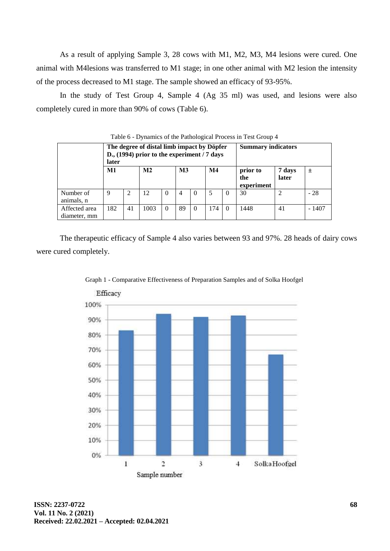As a result of applying Sample 3, 28 cows with M1, M2, M3, M4 lesions were cured. One animal with M4lesions was transferred to M1 stage; in one other animal with M2 lesion the intensity of the process decreased to M1 stage. The sample showed an efficacy of 93-95%.

In the study of Test Group 4, Sample 4 (Ag 35 ml) was used, and lesions were also completely cured in more than 90% of cows (Table 6).

| $\frac{1}{2}$ avec $\frac{1}{2}$ - Dynamics of the F athological Flocess in Test Oroup 4 |       |    |                                                                                             |          |                           |          |               |          |                               |                 |         |  |
|------------------------------------------------------------------------------------------|-------|----|---------------------------------------------------------------------------------------------|----------|---------------------------|----------|---------------|----------|-------------------------------|-----------------|---------|--|
|                                                                                          | later |    | The degree of distal limb impact by Döpfer<br>D., $(1994)$ prior to the experiment / 7 days |          | <b>Summary indicators</b> |          |               |          |                               |                 |         |  |
|                                                                                          | M1    |    | M <sub>2</sub>                                                                              |          | $\mathbf{M}3$             |          | $\mathbf{M}4$ |          | prior to<br>the<br>experiment | 7 days<br>later | 土       |  |
| Number of<br>animals, n                                                                  | 9     | 2  | 12                                                                                          | $\Omega$ | 4                         | $\theta$ |               | $\Omega$ | 30                            |                 | $-28$   |  |
| Affected area<br>diameter, mm                                                            | 182   | 41 | 1003                                                                                        | $\Omega$ | 89                        | $\Omega$ | 174           | $\Omega$ | 1448                          | 41              | $-1407$ |  |

of the Pathological Process in Test Group 4

The therapeutic efficacy of Sample 4 also varies between 93 and 97%. 28 heads of dairy cows were cured completely.



Graph 1 - Comparative Effectiveness of Preparation Samples and of Solka Hoofgel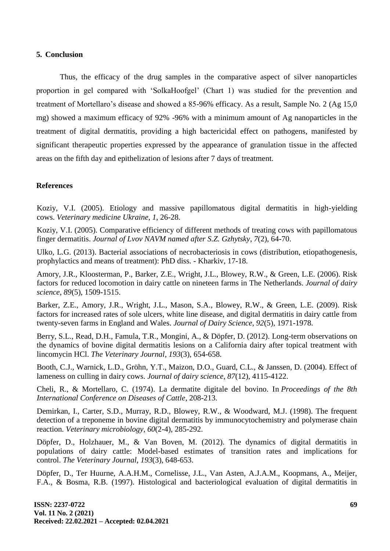#### **5. Conclusion**

Thus, the efficacy of the drug samples in the comparative aspect of silver nanoparticles proportion in gel compared with 'SolkaHoofgel' (Chart 1) was studied for the prevention and treatment of Mortellaro's disease and showed a 85-96% efficacy. As a result, Sample No. 2 (Ag 15,0 mg) showed a maximum efficacy of 92% -96% with a minimum amount of Ag nanoparticles in the treatment of digital dermatitis, providing a high bactericidal effect on pathogens, manifested by significant therapeutic properties expressed by the appearance of granulation tissue in the affected areas on the fifth day and epithelization of lesions after 7 days of treatment.

## **References**

Koziy, V.I. (2005). Etiology and massive papillomatous digital dermatitis in high-yielding cows. *Veterinary medicine Ukraine*, *1*, 26-28.

Koziy, V.I. (2005). Comparative efficiency of different methods of treating cows with papillomatous finger dermatitis. *Journal of Lvov NAVM named after S.Z. Gzhytsky*, *7*(2), 64-70.

Ulko, L.G. (2013). Bacterial associations of necrobacteriosis in cows (distribution, etiopathogenesis, prophylactics and means of treatment): PhD diss. - Kharkiv, 17-18.

Amory, J.R., Kloosterman, P., Barker, Z.E., Wright, J.L., Blowey, R.W., & Green, L.E. (2006). Risk factors for reduced locomotion in dairy cattle on nineteen farms in The Netherlands. *Journal of dairy science*, *89*(5), 1509-1515.

Barker, Z.E., Amory, J.R., Wright, J.L., Mason, S.A., Blowey, R.W., & Green, L.E. (2009). Risk factors for increased rates of sole ulcers, white line disease, and digital dermatitis in dairy cattle from twenty-seven farms in England and Wales. *Journal of Dairy Science*, *92*(5), 1971-1978.

Berry, S.L., Read, D.H., Famula, T.R., Mongini, A., & Döpfer, D. (2012). Long-term observations on the dynamics of bovine digital dermatitis lesions on a California dairy after topical treatment with lincomycin HCl. *The Veterinary Journal*, *193*(3), 654-658.

Booth, C.J., Warnick, L.D., Gröhn, Y.T., Maizon, D.O., Guard, C.L., & Janssen, D. (2004). Effect of lameness on culling in dairy cows. *Journal of dairy science*, *87*(12), 4115-4122.

Cheli, R., & Mortellaro, C. (1974). La dermatite digitale del bovino. In *Proceedings of the 8th International Conference on Diseases of Cattle*, 208-213.

Demirkan, I., Carter, S.D., Murray, R.D., Blowey, R.W., & Woodward, M.J. (1998). The frequent detection of a treponeme in bovine digital dermatitis by immunocytochemistry and polymerase chain reaction. *Veterinary microbiology*, *60*(2-4), 285-292.

Döpfer, D., Holzhauer, M., & Van Boven, M. (2012). The dynamics of digital dermatitis in populations of dairy cattle: Model-based estimates of transition rates and implications for control. *The Veterinary Journal*, *193*(3), 648-653.

Döpfer, D., Ter Huurne, A.A.H.M., Cornelisse, J.L., Van Asten, A.J.A.M., Koopmans, A., Meijer, F.A., & Bosma, R.B. (1997). Histological and bacteriological evaluation of digital dermatitis in